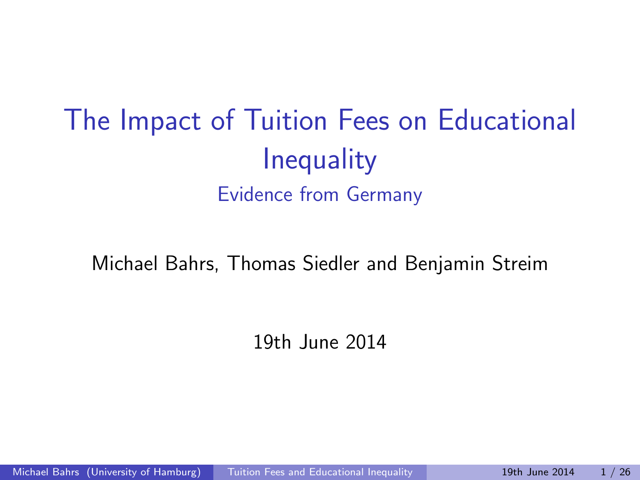# The Impact of Tuition Fees on Educational **Inequality** Evidence from Germany

Michael Bahrs, Thomas Siedler and Benjamin Streim

<span id="page-0-0"></span>19th June 2014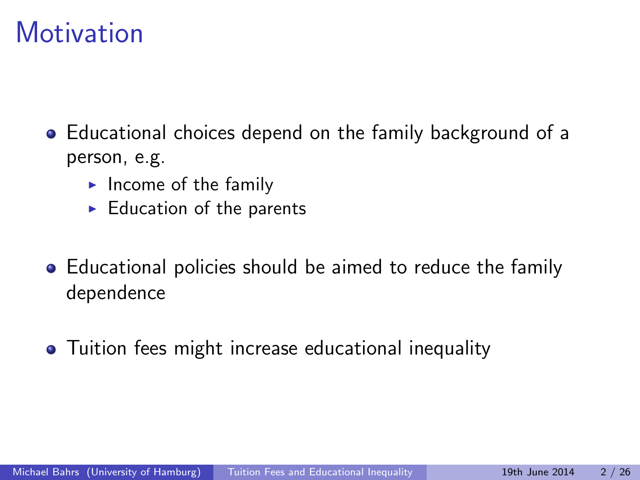## **Motivation**

- Educational choices depend on the family background of a person, e.g.
	- $\blacktriangleright$  Income of the family
	- $\blacktriangleright$  Education of the parents
- Educational policies should be aimed to reduce the family dependence
- Tuition fees might increase educational inequality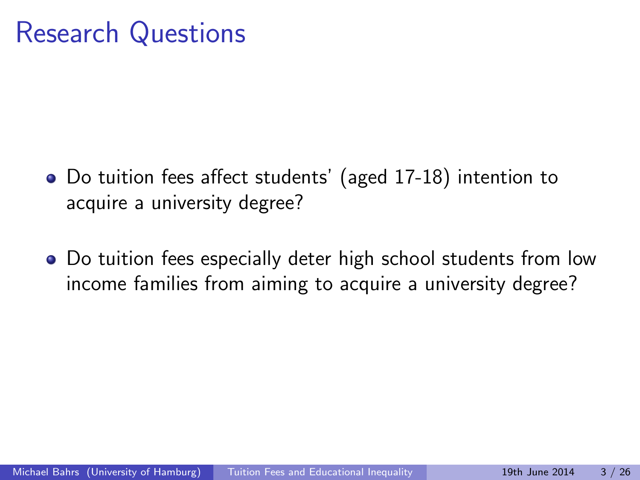## Research Questions

- Do tuition fees affect students' (aged 17-18) intention to acquire a university degree?
- Do tuition fees especially deter high school students from low income families from aiming to acquire a university degree?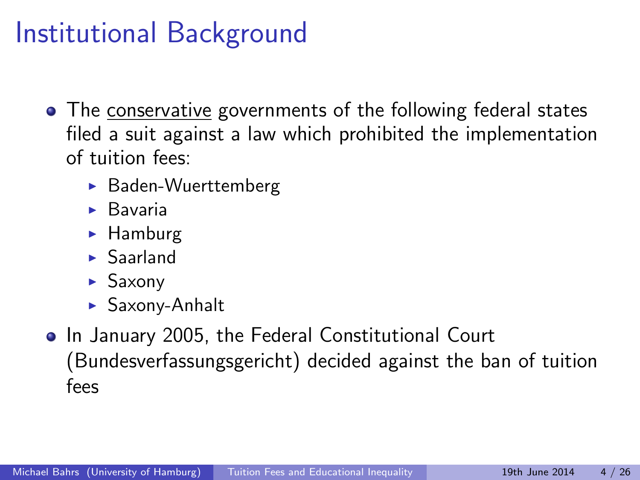# Institutional Background

- The conservative governments of the following federal states filed a suit against a law which prohibited the implementation of tuition fees:
	- $\blacktriangleright$  Baden-Wuerttemberg
	- $\blacktriangleright$  Bavaria
	- $\blacktriangleright$  Hamburg
	- $\blacktriangleright$  Saarland
	- $\blacktriangleright$  Saxony
	- $\blacktriangleright$  Saxony-Anhalt
- In January 2005, the Federal Constitutional Court (Bundesverfassungsgericht) decided against the ban of tuition fees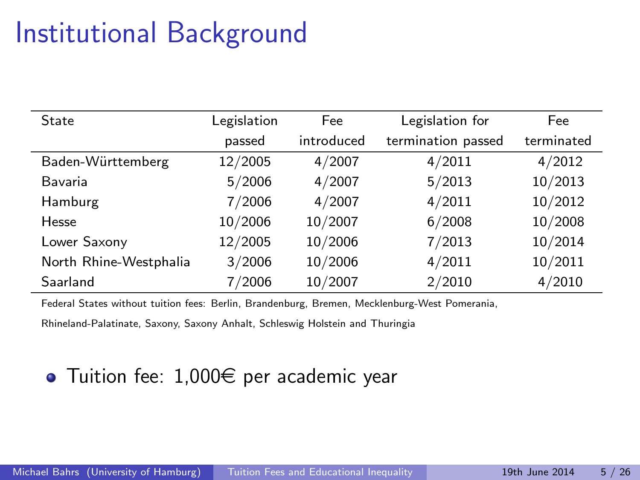# Institutional Background

| State                  | Legislation | Fee        | Legislation for    | Fee        |
|------------------------|-------------|------------|--------------------|------------|
|                        | passed      | introduced | termination passed | terminated |
| Baden-Württemberg      | 12/2005     | 4/2007     | 4/2011             | 4/2012     |
| Bavaria                | 5/2006      | 4/2007     | 5/2013             | 10/2013    |
| Hamburg                | 7/2006      | 4/2007     | 4/2011             | 10/2012    |
| Hesse                  | 10/2006     | 10/2007    | 6/2008             | 10/2008    |
| Lower Saxony           | 12/2005     | 10/2006    | 7/2013             | 10/2014    |
| North Rhine-Westphalia | 3/2006      | 10/2006    | 4/2011             | 10/2011    |
| Saarland               | 7/2006      | 10/2007    | 2/2010             | 4/2010     |

Federal States without tuition fees: Berlin, Brandenburg, Bremen, Mecklenburg-West Pomerania,

Rhineland-Palatinate, Saxony, Saxony Anhalt, Schleswig Holstein and Thuringia

#### $\bullet$  Tuition fee: 1,000 $\epsilon$  per academic year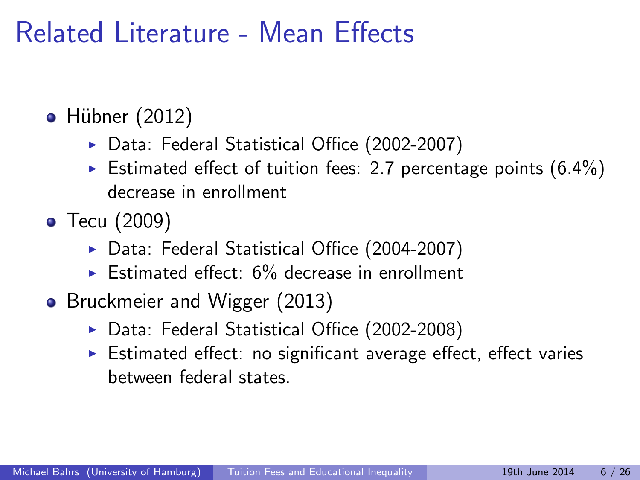## Related Literature - Mean Effects

- $\bullet$  Hübner (2012)
	- ▶ Data: Federal Statistical Office (2002-2007)
	- Estimated effect of tuition fees: 2.7 percentage points  $(6.4\%)$ decrease in enrollment
- Tecu (2009)
	- ▶ Data: Federal Statistical Office (2004-2007)
	- $\triangleright$  Estimated effect: 6% decrease in enrollment
- Bruckmeier and Wigger (2013)
	- ▶ Data: Federal Statistical Office (2002-2008)
	- $\triangleright$  Estimated effect: no significant average effect, effect varies between federal states.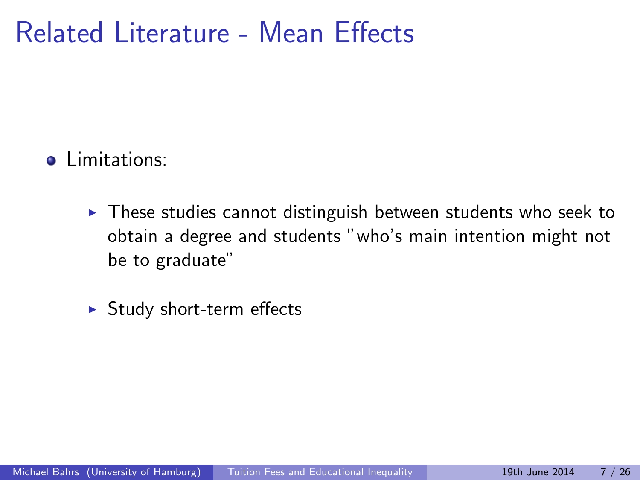## Related Literature - Mean Effects

#### **•** Limitations:

- $\triangleright$  These studies cannot distinguish between students who seek to obtain a degree and students "who's main intention might not be to graduate"
- $\blacktriangleright$  Study short-term effects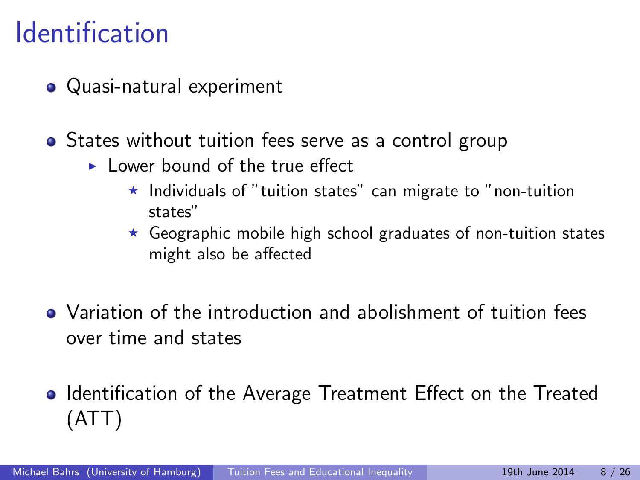## **Identification**

- Quasi-natural experiment
- States without tuition fees serve as a control group
	- $\blacktriangleright$  Lower bound of the true effect
		- $\star$  Individuals of "tuition states" can migrate to "non-tuition states"
		- $\star$  Geographic mobile high school graduates of non-tuition states might also be affected
- Variation of the introduction and abolishment of tuition fees over time and states
- Identification of the Average Treatment Effect on the Treated (ATT)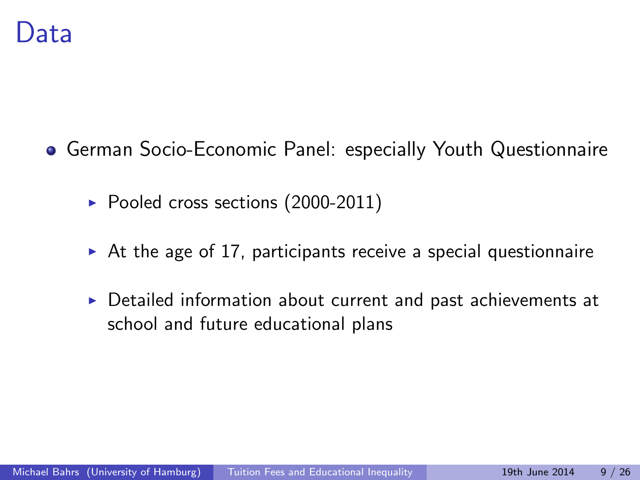- **German Socio-Economic Panel: especially Youth Questionnaire** 
	- $\blacktriangleright$  Pooled cross sections (2000-2011)
	- $\triangleright$  At the age of 17, participants receive a special questionnaire
	- $\triangleright$  Detailed information about current and past achievements at school and future educational plans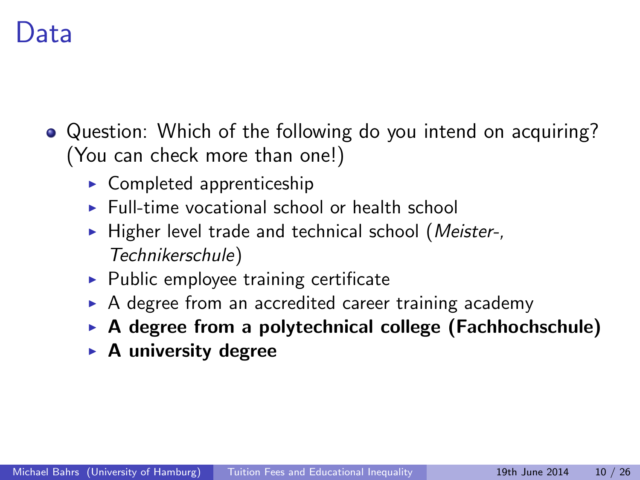## Data

- Question: Which of the following do you intend on acquiring? (You can check more than one!)
	- $\triangleright$  Completed apprenticeship
	- $\blacktriangleright$  Full-time vocational school or health school
	- $\blacktriangleright$  Higher level trade and technical school (*Meister-,* Technikerschule)
	- $\blacktriangleright$  Public employee training certificate
	- $\triangleright$  A degree from an accredited career training academy
	- $\triangleright$  A degree from a polytechnical college (Fachhochschule)
	- $\blacktriangleright$  A university degree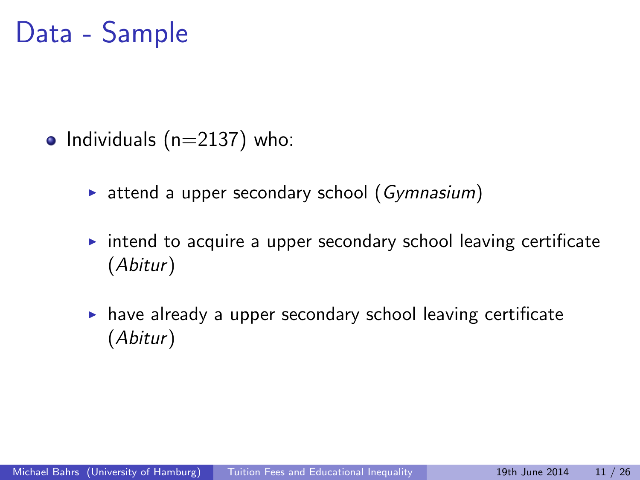## Data - Sample

- Individuals  $(n=2137)$  who:
	- $\triangleright$  attend a upper secondary school (Gymnasium)
	- $\triangleright$  intend to acquire a upper secondary school leaving certificate (Abitur)
	- $\blacktriangleright$  have already a upper secondary school leaving certificate (Abitur)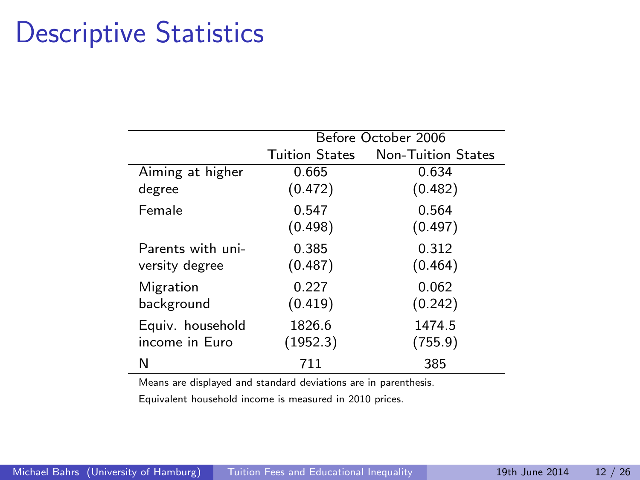# Descriptive Statistics

J.

|                   | Before October 2006   |                           |  |  |  |
|-------------------|-----------------------|---------------------------|--|--|--|
|                   | <b>Tuition States</b> | <b>Non-Tuition States</b> |  |  |  |
| Aiming at higher  | 0.665                 | 0.634                     |  |  |  |
| degree            | (0.472)               | (0.482)                   |  |  |  |
| Female            | 0.547                 | 0.564                     |  |  |  |
|                   | (0.498)               | (0.497)                   |  |  |  |
| Parents with uni- | 0.385                 | 0.312                     |  |  |  |
| versity degree    | (0.487)               | (0.464)                   |  |  |  |
| Migration         | 0.227                 | 0.062                     |  |  |  |
| background        | (0.419)               | (0.242)                   |  |  |  |
| Equiv. household  | 1826.6                | 1474.5                    |  |  |  |
| income in Euro    | (1952.3)              | (755.9)                   |  |  |  |
| N                 | 711                   | 385                       |  |  |  |

Means are displayed and standard deviations are in parenthesis.

Equivalent household income is measured in 2010 prices.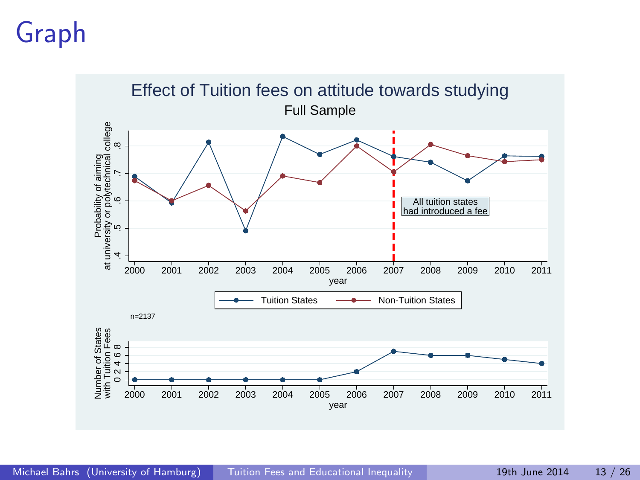# Graph

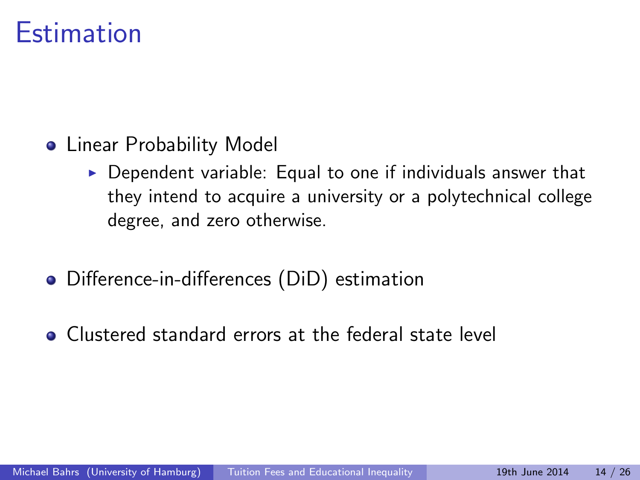## **Estimation**

- **•** Linear Probability Model
	- $\triangleright$  Dependent variable: Equal to one if individuals answer that they intend to acquire a university or a polytechnical college degree, and zero otherwise.
- Difference-in-differences (DiD) estimation
- Clustered standard errors at the federal state level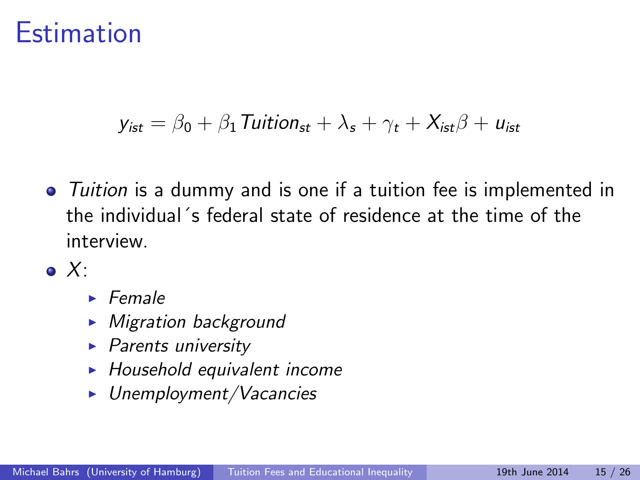### **Estimation**

$$
y_{\text{ist}} = \beta_0 + \beta_1 \text{ Tuition}_{\text{st}} + \lambda_s + \gamma_t + X_{\text{ist}}\beta + u_{\text{ist}}
$$

- Tuition is a dummy and is one if a tuition fee is implemented in the individual´s federal state of residence at the time of the interview.
- $\bullet$  X:
	- $\blacktriangleright$  Female
	- $\blacktriangleright$  Migration background
	- $\blacktriangleright$  Parents university
	- $\blacktriangleright$  Household equivalent income
	- $\blacktriangleright$  Unemployment/Vacancies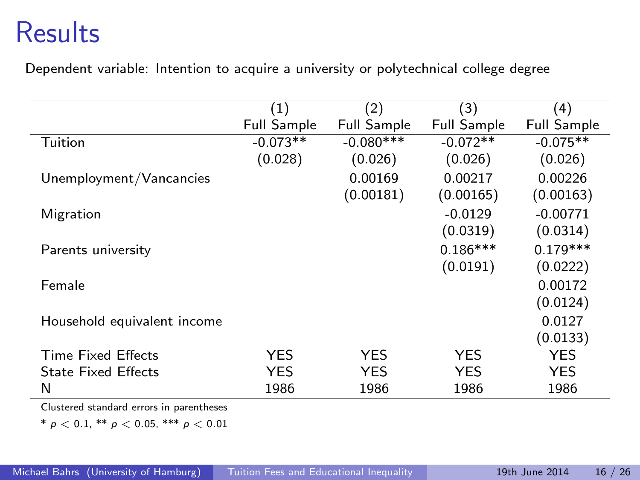## **Results**

Dependent variable: Intention to acquire a university or polytechnical college degree

|                                          | (1)                | (2)                | (3)                | (4)                |
|------------------------------------------|--------------------|--------------------|--------------------|--------------------|
|                                          | <b>Full Sample</b> | <b>Full Sample</b> | <b>Full Sample</b> | <b>Full Sample</b> |
| Tuition                                  | $-0.073**$         | $-0.080**$         | $-0.072**$         | $-0.075**$         |
|                                          | (0.028)            | (0.026)            | (0.026)            | (0.026)            |
| Unemployment/Vancancies                  |                    | 0.00169            | 0.00217            | 0.00226            |
|                                          |                    | (0.00181)          | (0.00165)          | (0.00163)          |
| Migration                                |                    |                    | $-0.0129$          | $-0.00771$         |
|                                          |                    |                    | (0.0319)           | (0.0314)           |
| Parents university                       |                    |                    | $0.186***$         | $0.179***$         |
|                                          |                    |                    | (0.0191)           | (0.0222)           |
| Female                                   |                    |                    |                    | 0.00172            |
|                                          |                    |                    |                    | (0.0124)           |
| Household equivalent income              |                    |                    |                    | 0.0127             |
|                                          |                    |                    |                    | (0.0133)           |
| <b>Time Fixed Effects</b>                | <b>YES</b>         | <b>YES</b>         | <b>YES</b>         | <b>YES</b>         |
| <b>State Fixed Effects</b>               | YES                | <b>YES</b>         | YES                | <b>YES</b>         |
| N                                        | 1986               | 1986               | 1986               | 1986               |
| Clustored standard expert in parentheses |                    |                    |                    |                    |

Clustered standard errors in parentheses

\*  $p < 0.1$ , \*\*  $p < 0.05$ , \*\*\*  $p < 0.01$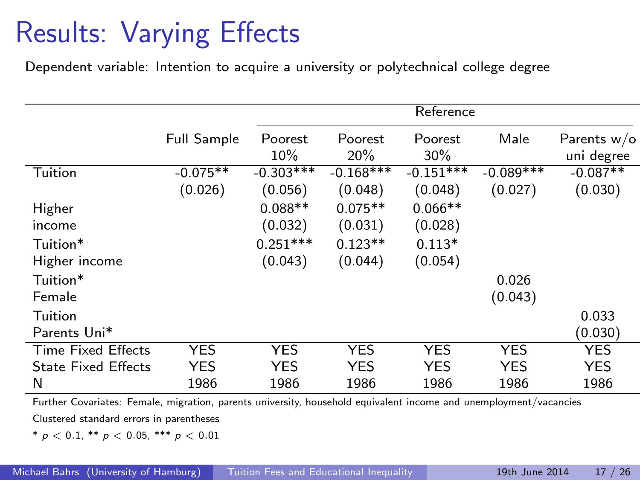# Results: Varying Effects

Dependent variable: Intention to acquire a university or polytechnical college degree

|                            | Reference          |                |                |                |             |                             |
|----------------------------|--------------------|----------------|----------------|----------------|-------------|-----------------------------|
|                            | <b>Full Sample</b> | Poorest<br>10% | Poorest<br>20% | Poorest<br>30% | Male        | Parents $w/o$<br>uni degree |
| Tuition                    | $-0.075**$         | $-0.303***$    | $-0.168***$    | $-0.151***$    | $-0.089***$ | $-0.087**$                  |
|                            | (0.026)            | (0.056)        | (0.048)        | (0.048)        | (0.027)     | (0.030)                     |
| Higher                     |                    | $0.088**$      | $0.075**$      | $0.066**$      |             |                             |
| income                     |                    | (0.032)        | (0.031)        | (0.028)        |             |                             |
| Tuition*                   |                    | $0.251***$     | $0.123**$      | $0.113*$       |             |                             |
| Higher income              |                    | (0.043)        | (0.044)        | (0.054)        |             |                             |
| Tuition*                   |                    |                |                |                | 0.026       |                             |
| Female                     |                    |                |                |                | (0.043)     |                             |
| Tuition                    |                    |                |                |                |             | 0.033                       |
| Parents Uni*               |                    |                |                |                |             | (0.030)                     |
| Time Fixed Effects         | <b>YES</b>         | <b>YES</b>     | <b>YES</b>     | <b>YES</b>     | <b>YES</b>  | <b>YES</b>                  |
| <b>State Fixed Effects</b> | <b>YES</b>         | YES            | <b>YES</b>     | <b>YES</b>     | <b>YES</b>  | <b>YES</b>                  |
| N                          | 1986               | 1986           | 1986           | 1986           | 1986        | 1986                        |

Further Covariates: Female, migration, parents university, household equivalent income and unemployment/vacancies Clustered standard errors in parentheses

\*  $p < 0.1$ , \*\*  $p < 0.05$ , \*\*\*  $p < 0.01$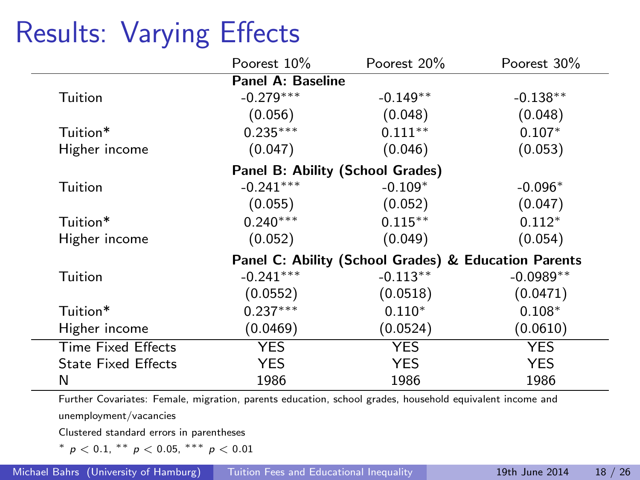# Results: Varying Effects

|                            | Poorest 10%                      | Poorest 20%                                          | Poorest 30% |  |  |  |  |
|----------------------------|----------------------------------|------------------------------------------------------|-------------|--|--|--|--|
| <b>Panel A: Baseline</b>   |                                  |                                                      |             |  |  |  |  |
| Tuition                    | $-0.279***$                      | $-0.149**$                                           | $-0.138**$  |  |  |  |  |
|                            | (0.056)                          | (0.048)                                              | (0.048)     |  |  |  |  |
| Tuition*                   | $0.235***$                       | $0.111**$                                            | $0.107*$    |  |  |  |  |
| Higher income              | (0.047)                          | (0.046)                                              | (0.053)     |  |  |  |  |
|                            | Panel B: Ability (School Grades) |                                                      |             |  |  |  |  |
| Tuition                    | $-0.241***$                      | $-0.109*$                                            | $-0.096*$   |  |  |  |  |
|                            | (0.055)                          | (0.052)                                              | (0.047)     |  |  |  |  |
| Tuition*                   | $0.240***$                       | $0.115***$                                           | $0.112*$    |  |  |  |  |
| Higher income              | (0.052)                          | (0.049)                                              | (0.054)     |  |  |  |  |
|                            |                                  | Panel C: Ability (School Grades) & Education Parents |             |  |  |  |  |
| Tuition                    | $-0.241***$                      | $-0.113**$                                           | $-0.0989**$ |  |  |  |  |
|                            | (0.0552)                         | (0.0518)                                             | (0.0471)    |  |  |  |  |
| Tuition*                   | $0.237***$                       | $0.110*$                                             | $0.108*$    |  |  |  |  |
| Higher income              | (0.0469)                         | (0.0524)                                             | (0.0610)    |  |  |  |  |
| <b>Time Fixed Effects</b>  | <b>YES</b>                       | <b>YES</b>                                           | <b>YES</b>  |  |  |  |  |
| <b>State Fixed Effects</b> | <b>YES</b>                       | <b>YES</b>                                           | <b>YES</b>  |  |  |  |  |
| N                          | 1986                             | 1986                                                 | 1986        |  |  |  |  |

Further Covariates: Female, migration, parents education, school grades, household equivalent income and unemployment/vacancies

Clustered standard errors in parentheses

<sup>∗</sup> p < 0.1, ∗∗ p < 0.05, ∗∗∗ p < 0.01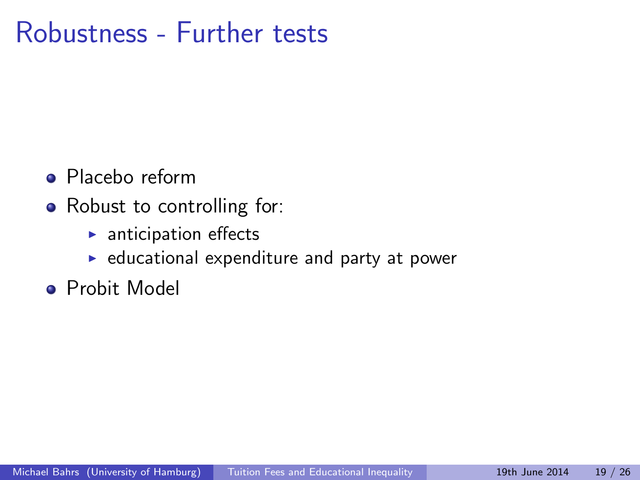### Robustness - Further tests

- **•** Placebo reform
- Robust to controlling for:
	- $\blacktriangleright$  anticipation effects
	- $\triangleright$  educational expenditure and party at power
- **•** Probit Model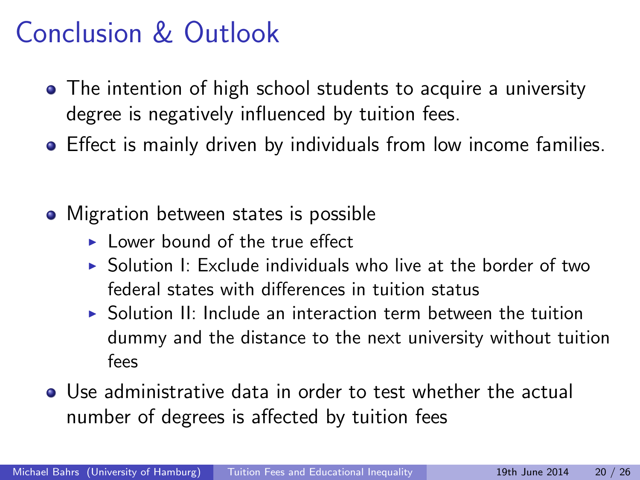## Conclusion & Outlook

- The intention of high school students to acquire a university degree is negatively influenced by tuition fees.
- **•** Effect is mainly driven by individuals from low income families.
- Migration between states is possible
	- I ower bound of the true effect
	- $\triangleright$  Solution I: Exclude individuals who live at the border of two federal states with differences in tuition status
	- $\triangleright$  Solution II: Include an interaction term between the tuition dummy and the distance to the next university without tuition fees
- Use administrative data in order to test whether the actual number of degrees is affected by tuition fees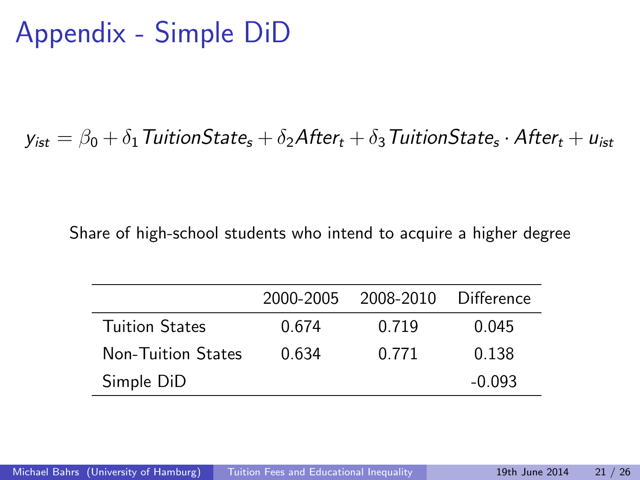# Appendix - Simple DiD

#### $y_{\mathsf{ist}} = \beta_{\mathsf{0}} + \delta_{\mathsf{1}}$  Tuition $\mathsf{State}_{\mathsf{s}} + \delta_{\mathsf{2}}\mathsf{After}_{t} + \delta_{\mathsf{3}}$  Tuition $\mathsf{State}_{\mathsf{s}} \cdot \mathsf{After}_{t} + u_{\mathsf{ist}}$

Share of high-school students who intend to acquire a higher degree

|                           | 2000-2005 | 2008-2010 | Difference |
|---------------------------|-----------|-----------|------------|
| <b>Tuition States</b>     | 0.674     | 0.719     | 0.045      |
| <b>Non-Tuition States</b> | 0.634     | 0.771     | 0.138      |
| Simple DiD                |           |           | $-0.093$   |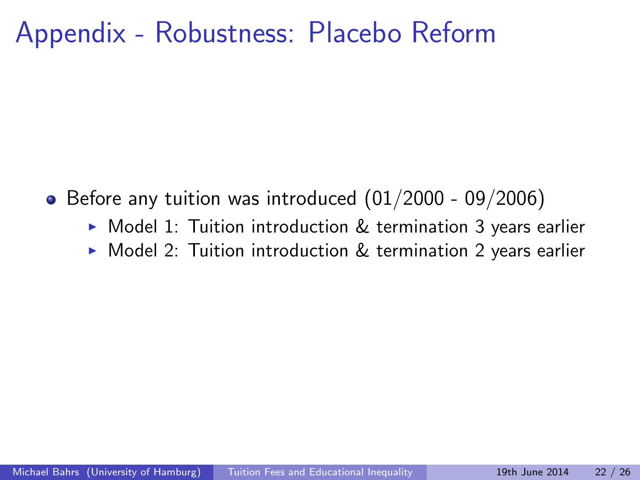## Appendix - Robustness: Placebo Reform

- $\bullet$  Before any tuition was introduced  $(01/2000 09/2006)$ 
	- $\triangleright$  Model 1: Tuition introduction  $\&$  termination 3 years earlier
	- $\triangleright$  Model 2: Tuition introduction & termination 2 years earlier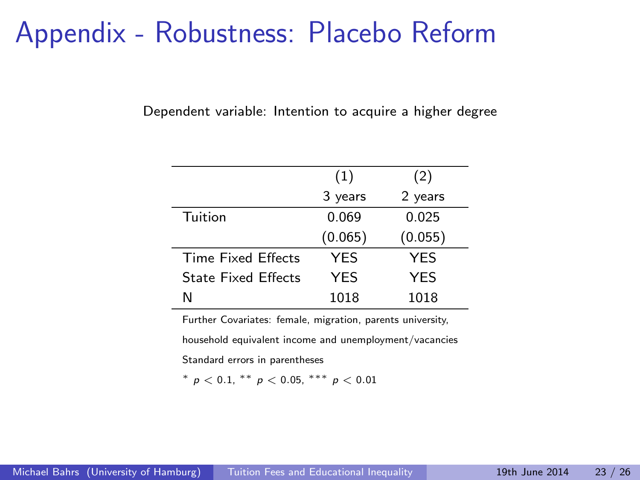### Appendix - Robustness: Placebo Reform

Dependent variable: Intention to acquire a higher degree

|                            | (1)        | (2)        |
|----------------------------|------------|------------|
|                            | 3 years    | 2 years    |
| Tuition                    | 0.069      | 0.025      |
|                            | (0.065)    | (0.055)    |
| Time Fixed Effects         | <b>YFS</b> | YES        |
| <b>State Fixed Effects</b> | <b>YES</b> | <b>YES</b> |
| N                          | 1018       | 1018       |

Further Covariates: female, migration, parents university,

household equivalent income and unemployment/vacancies

Standard errors in parentheses

\*  $p < 0.1$ , \*\*  $p < 0.05$ , \*\*\*  $p < 0.01$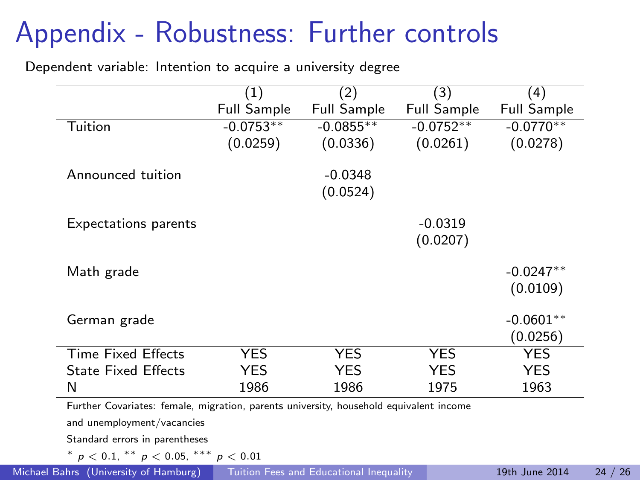# Appendix - Robustness: Further controls

Dependent variable: Intention to acquire a university degree

|                             | (1)         | $^{\prime}2)$      | (3)                | (4)                |
|-----------------------------|-------------|--------------------|--------------------|--------------------|
|                             | Full Sample | <b>Full Sample</b> | <b>Full Sample</b> | <b>Full Sample</b> |
| Tuition                     | $-0.0753**$ | $-0.0855***$       | $-0.0752**$        | $-0.0770**$        |
|                             | (0.0259)    | (0.0336)           | (0.0261)           | (0.0278)           |
| Announced tuition           |             | $-0.0348$          |                    |                    |
|                             |             | (0.0524)           |                    |                    |
| <b>Expectations parents</b> |             |                    | $-0.0319$          |                    |
|                             |             |                    | (0.0207)           |                    |
| Math grade                  |             |                    |                    | $-0.0247**$        |
|                             |             |                    |                    | (0.0109)           |
| German grade                |             |                    |                    | $-0.0601**$        |
|                             |             |                    |                    | (0.0256)           |
| <b>Time Fixed Effects</b>   | <b>YES</b>  | YES                | <b>YES</b>         | <b>YES</b>         |
| <b>State Fixed Effects</b>  | <b>YES</b>  | YES                | YES.               | YES                |
| N                           | 1986        | 1986               | 1975               | 1963               |

and unemployment/vacancies

Standard errors in parentheses

 $*$   $p < 0.1$ ,  $**$   $p < 0.05$ ,  $**$   $p < 0.01$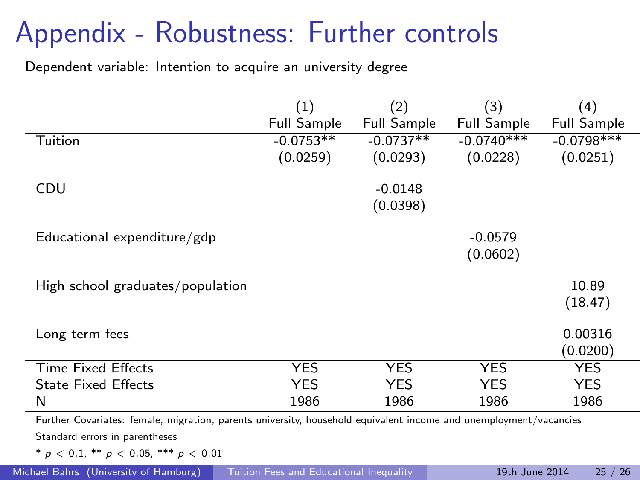# Appendix - Robustness: Further controls

Dependent variable: Intention to acquire an university degree

|                                                                                                                   | (1)                | (2)                | (3)                | (4)                |
|-------------------------------------------------------------------------------------------------------------------|--------------------|--------------------|--------------------|--------------------|
|                                                                                                                   | <b>Full Sample</b> | <b>Full Sample</b> | <b>Full Sample</b> | <b>Full Sample</b> |
| Tuition                                                                                                           | $-0.0753**$        | $-0.0737**$        | $-0.0740***$       | $-0.0798$ ***      |
|                                                                                                                   | (0.0259)           | (0.0293)           | (0.0228)           | (0.0251)           |
|                                                                                                                   |                    |                    |                    |                    |
| CDU                                                                                                               |                    | $-0.0148$          |                    |                    |
|                                                                                                                   |                    | (0.0398)           |                    |                    |
|                                                                                                                   |                    |                    |                    |                    |
| Educational expenditure/gdp                                                                                       |                    |                    | $-0.0579$          |                    |
|                                                                                                                   |                    |                    | (0.0602)           |                    |
|                                                                                                                   |                    |                    |                    |                    |
| High school graduates/population                                                                                  |                    |                    |                    | 10.89              |
|                                                                                                                   |                    |                    |                    | (18.47)            |
|                                                                                                                   |                    |                    |                    |                    |
| Long term fees                                                                                                    |                    |                    |                    | 0.00316            |
|                                                                                                                   |                    |                    |                    | (0.0200)           |
| <b>Time Fixed Effects</b>                                                                                         | YES                | YES                | YES.               | <b>YES</b>         |
| <b>State Fixed Effects</b>                                                                                        | <b>YES</b>         | <b>YES</b>         | YES.               | YES.               |
| N                                                                                                                 | 1986               | 1986               | 1986               | 1986               |
| Further Covariates: female, migration, parents university, household equivalent income and unemployment/vacancies |                    |                    |                    |                    |
| Standard errors in parentheses                                                                                    |                    |                    |                    |                    |
| $* n < 0.1$ $** n < 0.05$ $*** n < 0.01$                                                                          |                    |                    |                    |                    |